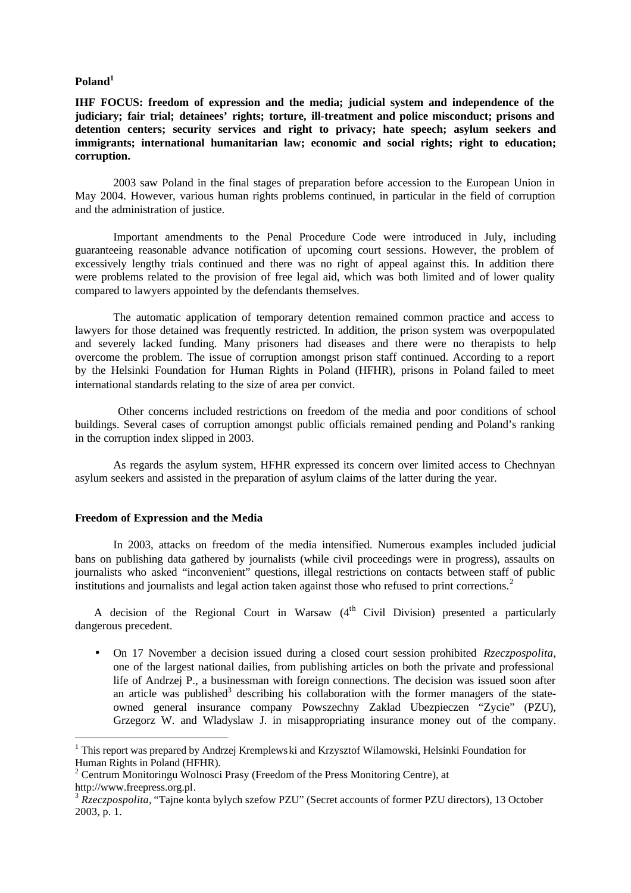#### **Poland<sup>1</sup>**

**IHF FOCUS: freedom of expression and the media; judicial system and independence of the judiciary; fair trial; detainees' rights; torture, ill-treatment and police misconduct; prisons and detention centers; security services and right to privacy; hate speech; asylum seekers and immigrants; international humanitarian law; economic and social rights; right to education; corruption.**

2003 saw Poland in the final stages of preparation before accession to the European Union in May 2004. However, various human rights problems continued, in particular in the field of corruption and the administration of justice.

Important amendments to the Penal Procedure Code were introduced in July, including guaranteeing reasonable advance notification of upcoming court sessions. However, the problem of excessively lengthy trials continued and there was no right of appeal against this. In addition there were problems related to the provision of free legal aid, which was both limited and of lower quality compared to lawyers appointed by the defendants themselves.

The automatic application of temporary detention remained common practice and access to lawyers for those detained was frequently restricted. In addition, the prison system was overpopulated and severely lacked funding. Many prisoners had diseases and there were no therapists to help overcome the problem. The issue of corruption amongst prison staff continued. According to a report by the Helsinki Foundation for Human Rights in Poland (HFHR), prisons in Poland failed to meet international standards relating to the size of area per convict.

 Other concerns included restrictions on freedom of the media and poor conditions of school buildings. Several cases of corruption amongst public officials remained pending and Poland's ranking in the corruption index slipped in 2003.

As regards the asylum system, HFHR expressed its concern over limited access to Chechnyan asylum seekers and assisted in the preparation of asylum claims of the latter during the year.

#### **Freedom of Expression and the Media**

In 2003, attacks on freedom of the media intensified. Numerous examples included judicial bans on publishing data gathered by journalists (while civil proceedings were in progress), assaults on journalists who asked "inconvenient" questions, illegal restrictions on contacts between staff of public institutions and journalists and legal action taken against those who refused to print corrections.<sup>2</sup>

A decision of the Regional Court in Warsaw  $(4<sup>th</sup>$  Civil Division) presented a particularly dangerous precedent.

• On 17 November a decision issued during a closed court session prohibited *Rzeczpospolita,* one of the largest national dailies, from publishing articles on both the private and professional life of Andrzej P., a businessman with foreign connections. The decision was issued soon after an article was published<sup>3</sup> describing his collaboration with the former managers of the stateowned general insurance company Powszechny Zaklad Ubezpieczen "Zycie" (PZU), Grzegorz W. and Wladyslaw J. in misappropriating insurance money out of the company.

<sup>&</sup>lt;sup>1</sup> This report was prepared by Andrzej Kremplewski and Krzysztof Wilamowski, Helsinki Foundation for Human Rights in Poland (HFHR).

<sup>&</sup>lt;sup>2</sup> Centrum Monitoringu Wolnosci Prasy (Freedom of the Press Monitoring Centre), at

http://www.freepress.org.pl.

<sup>&</sup>lt;sup>3</sup> Rzeczpospolita, "Tajne konta bylych szefow PZU" (Secret accounts of former PZU directors), 13 October 2003, p. 1.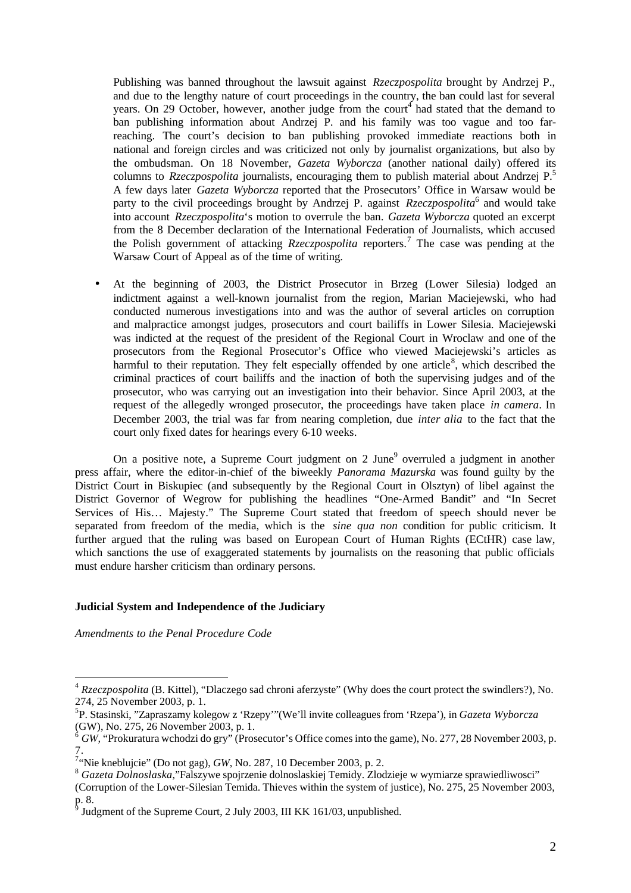Publishing was banned throughout the lawsuit against *Rzeczpospolita* brought by Andrzej P., and due to the lengthy nature of court proceedings in the country, the ban could last for several years. On 29 October, however, another judge from the court<sup>4</sup> had stated that the demand to ban publishing information about Andrzej P. and his family was too vague and too farreaching. The court's decision to ban publishing provoked immediate reactions both in national and foreign circles and was criticized not only by journalist organizations, but also by the ombudsman. On 18 November, *Gazeta Wyborcza* (another national daily) offered its columns to *Rzeczpospolita* journalists, encouraging them to publish material about Andrzej P.<sup>5</sup> A few days later *Gazeta Wyborcza* reported that the Prosecutors' Office in Warsaw would be party to the civil proceedings brought by Andrzej P. against *Rzeczpospolita*<sup>6</sup> and would take into account *Rzeczpospolita*'s motion to overrule the ban. *Gazeta Wyborcza* quoted an excerpt from the 8 December declaration of the International Federation of Journalists, which accused the Polish government of attacking *Rzeczpospolita* reporters.<sup>7</sup> The case was pending at the Warsaw Court of Appeal as of the time of writing.

• At the beginning of 2003, the District Prosecutor in Brzeg (Lower Silesia) lodged an indictment against a well-known journalist from the region, Marian Maciejewski, who had conducted numerous investigations into and was the author of several articles on corruption and malpractice amongst judges, prosecutors and court bailiffs in Lower Silesia. Maciejewski was indicted at the request of the president of the Regional Court in Wroclaw and one of the prosecutors from the Regional Prosecutor's Office who viewed Maciejewski's articles as harmful to their reputation. They felt especially offended by one article<sup>8</sup>, which described the criminal practices of court bailiffs and the inaction of both the supervising judges and of the prosecutor, who was carrying out an investigation into their behavior. Since April 2003, at the request of the allegedly wronged prosecutor, the proceedings have taken place *in camera*. In December 2003, the trial was far from nearing completion, due *inter alia* to the fact that the court only fixed dates for hearings every 6-10 weeks.

On a positive note, a Supreme Court judgment on 2 June<sup>9</sup> overruled a judgment in another press affair, where the editor-in-chief of the biweekly *Panorama Mazurska* was found guilty by the District Court in Biskupiec (and subsequently by the Regional Court in Olsztyn) of libel against the District Governor of Wegrow for publishing the headlines "One-Armed Bandit" and "In Secret Services of His… Majesty." The Supreme Court stated that freedom of speech should never be separated from freedom of the media, which is the *sine qua non* condition for public criticism. It further argued that the ruling was based on European Court of Human Rights (ECtHR) case law, which sanctions the use of exaggerated statements by journalists on the reasoning that public officials must endure harsher criticism than ordinary persons.

## **Judicial System and Independence of the Judiciary**

*Amendments to the Penal Procedure Code*

<sup>&</sup>lt;sup>4</sup> Rzeczpospolita (B. Kittel), "Dlaczego sad chroni aferzyste" (Why does the court protect the swindlers?), No. 274, 25 November 2003, p. 1.

<sup>5</sup> P. Stasinski, "Zapraszamy kolegow z 'Rzepy'"(We'll invite colleagues from 'Rzepa'), in *Gazeta Wyborcza*  (GW), No. 275, 26 November 2003, p. 1.

<sup>6</sup> *GW,* "Prokuratura wchodzi do gry" (Prosecutor's Office comes into the game), No. 277, 28 November 2003, p. 7. 7 "Nie kneblujcie" (Do not gag), *GW*, No. 287, 10 December 2003, p. 2.

<sup>8</sup> *Gazeta Dolnoslaska*,"Falszywe spojrzenie dolnoslaskiej Temidy. Zlodzieje w wymiarze sprawiedliwosci"

<sup>(</sup>Corruption of the Lower-Silesian Temida. Thieves within the system of justice), No. 275, 25 November 2003,  $\frac{p.8}{9}$ 

Judgment of the Supreme Court, 2 July 2003, III KK 161/03, unpublished.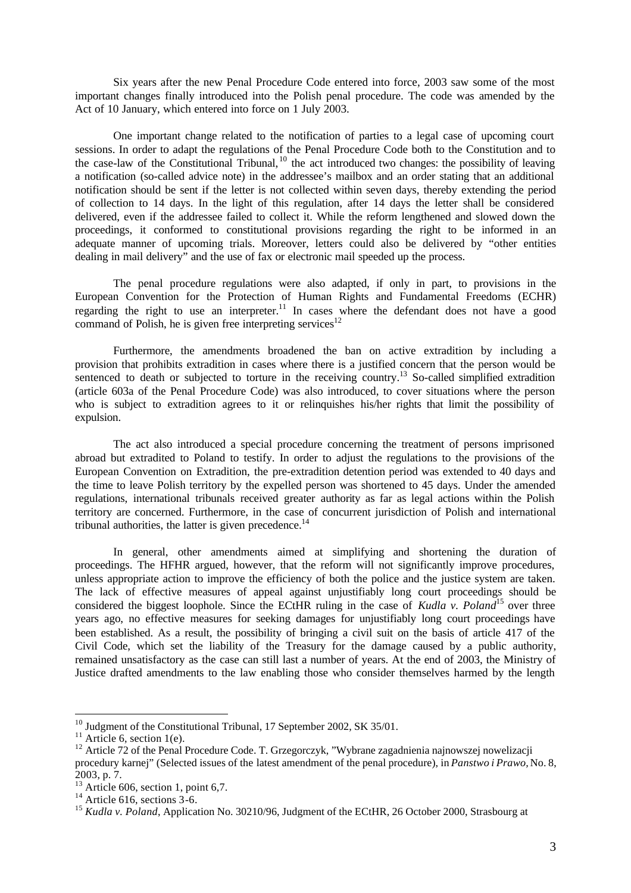Six years after the new Penal Procedure Code entered into force, 2003 saw some of the most important changes finally introduced into the Polish penal procedure. The code was amended by the Act of 10 January, which entered into force on 1 July 2003.

One important change related to the notification of parties to a legal case of upcoming court sessions. In order to adapt the regulations of the Penal Procedure Code both to the Constitution and to the case-law of the Constitutional Tribunal,  $^{10}$  the act introduced two changes: the possibility of leaving a notification (so-called advice note) in the addressee's mailbox and an order stating that an additional notification should be sent if the letter is not collected within seven days, thereby extending the period of collection to 14 days. In the light of this regulation, after 14 days the letter shall be considered delivered, even if the addressee failed to collect it. While the reform lengthened and slowed down the proceedings, it conformed to constitutional provisions regarding the right to be informed in an adequate manner of upcoming trials. Moreover, letters could also be delivered by "other entities dealing in mail delivery" and the use of fax or electronic mail speeded up the process.

The penal procedure regulations were also adapted, if only in part, to provisions in the European Convention for the Protection of Human Rights and Fundamental Freedoms (ECHR) regarding the right to use an interpreter.<sup>11</sup> In cases where the defendant does not have a good command of Polish, he is given free interpreting services<sup>12</sup>

Furthermore, the amendments broadened the ban on active extradition by including a provision that prohibits extradition in cases where there is a justified concern that the person would be sentenced to death or subjected to torture in the receiving country.<sup>13</sup> So-called simplified extradition (article 603a of the Penal Procedure Code) was also introduced, to cover situations where the person who is subject to extradition agrees to it or relinquishes his/her rights that limit the possibility of expulsion.

The act also introduced a special procedure concerning the treatment of persons imprisoned abroad but extradited to Poland to testify. In order to adjust the regulations to the provisions of the European Convention on Extradition, the pre-extradition detention period was extended to 40 days and the time to leave Polish territory by the expelled person was shortened to 45 days. Under the amended regulations, international tribunals received greater authority as far as legal actions within the Polish territory are concerned. Furthermore, in the case of concurrent jurisdiction of Polish and international tribunal authorities, the latter is given precedence.<sup>14</sup>

In general, other amendments aimed at simplifying and shortening the duration of proceedings. The HFHR argued, however, that the reform will not significantly improve procedures, unless appropriate action to improve the efficiency of both the police and the justice system are taken. The lack of effective measures of appeal against unjustifiably long court proceedings should be considered the biggest loophole. Since the ECtHR ruling in the case of *Kudla v. Poland*<sup>15</sup> over three years ago, no effective measures for seeking damages for unjustifiably long court proceedings have been established. As a result, the possibility of bringing a civil suit on the basis of article 417 of the Civil Code, which set the liability of the Treasury for the damage caused by a public authority, remained unsatisfactory as the case can still last a number of years. At the end of 2003, the Ministry of Justice drafted amendments to the law enabling those who consider themselves harmed by the length

<sup>&</sup>lt;sup>10</sup> Judgment of the Constitutional Tribunal, 17 September 2002, SK 35/01.

<sup>&</sup>lt;sup>11</sup> Article 6, section 1(e).

<sup>&</sup>lt;sup>12</sup> Article 72 of the Penal Procedure Code. T. Grzegorczyk, "Wybrane zagadnienia najnowszej nowelizacji procedury karnej" (Selected issues of the latest amendment of the penal procedure), in *Panstwo i Prawo,* No. 8, 2003, p. 7.

 $13$  Article 606, section 1, point 6,7.

 $14$  Article 616, sections 3-6.

<sup>&</sup>lt;sup>15</sup> *Kudla v. Poland*, Application No. 30210/96, Judgment of the ECtHR, 26 October 2000, Strasbourg at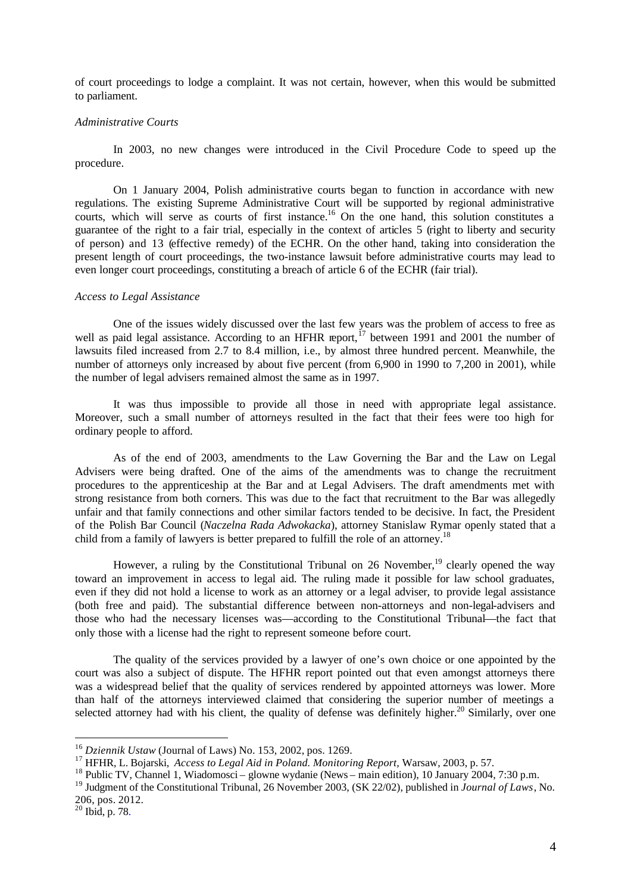of court proceedings to lodge a complaint. It was not certain, however, when this would be submitted to parliament.

# *Administrative Courts*

In 2003, no new changes were introduced in the Civil Procedure Code to speed up the procedure.

On 1 January 2004, Polish administrative courts began to function in accordance with new regulations. The existing Supreme Administrative Court will be supported by regional administrative courts, which will serve as courts of first instance.<sup>16</sup> On the one hand, this solution constitutes a guarantee of the right to a fair trial, especially in the context of articles 5 (right to liberty and security of person) and 13 (effective remedy) of the ECHR. On the other hand, taking into consideration the present length of court proceedings, the two-instance lawsuit before administrative courts may lead to even longer court proceedings, constituting a breach of article 6 of the ECHR (fair trial).

# *Access to Legal Assistance*

One of the issues widely discussed over the last few years was the problem of access to free as well as paid legal assistance. According to an HFHR report,  $^{17}$  between 1991 and 2001 the number of lawsuits filed increased from 2.7 to 8.4 million, i.e., by almost three hundred percent. Meanwhile, the number of attorneys only increased by about five percent (from 6,900 in 1990 to 7,200 in 2001), while the number of legal advisers remained almost the same as in 1997.

It was thus impossible to provide all those in need with appropriate legal assistance. Moreover, such a small number of attorneys resulted in the fact that their fees were too high for ordinary people to afford.

As of the end of 2003, amendments to the Law Governing the Bar and the Law on Legal Advisers were being drafted. One of the aims of the amendments was to change the recruitment procedures to the apprenticeship at the Bar and at Legal Advisers. The draft amendments met with strong resistance from both corners. This was due to the fact that recruitment to the Bar was allegedly unfair and that family connections and other similar factors tended to be decisive. In fact, the President of the Polish Bar Council (*Naczelna Rada Adwokacka*), attorney Stanislaw Rymar openly stated that a child from a family of lawyers is better prepared to fulfill the role of an attorney.<sup>18</sup>

However, a ruling by the Constitutional Tribunal on 26 November,  $19$  clearly opened the way toward an improvement in access to legal aid. The ruling made it possible for law school graduates, even if they did not hold a license to work as an attorney or a legal adviser, to provide legal assistance (both free and paid). The substantial difference between non-attorneys and non-legal-advisers and those who had the necessary licenses was—according to the Constitutional Tribunal—the fact that only those with a license had the right to represent someone before court.

The quality of the services provided by a lawyer of one's own choice or one appointed by the court was also a subject of dispute. The HFHR report pointed out that even amongst attorneys there was a widespread belief that the quality of services rendered by appointed attorneys was lower. More than half of the attorneys interviewed claimed that considering the superior number of meetings a selected attorney had with his client, the quality of defense was definitely higher.<sup>20</sup> Similarly, over one

<sup>16</sup> *Dziennik Ustaw* (Journal of Laws) No. 153, 2002, pos. 1269.

<sup>17</sup> HFHR, L. Bojarski, *Access to Legal Aid in Poland. Monitoring Report,* Warsaw, 2003, p. 57.

<sup>&</sup>lt;sup>18</sup> Public TV, Channel 1, Wiadomosci – glowne wydanie (News – main edition), 10 January 2004, 7:30 p.m.

<sup>19</sup> Judgment of the Constitutional Tribunal, 26 November 2003, (SK 22/02), published in *Journal of Laws*, No. 206, pos. 2012.

 $20$  Ibid, p. 78.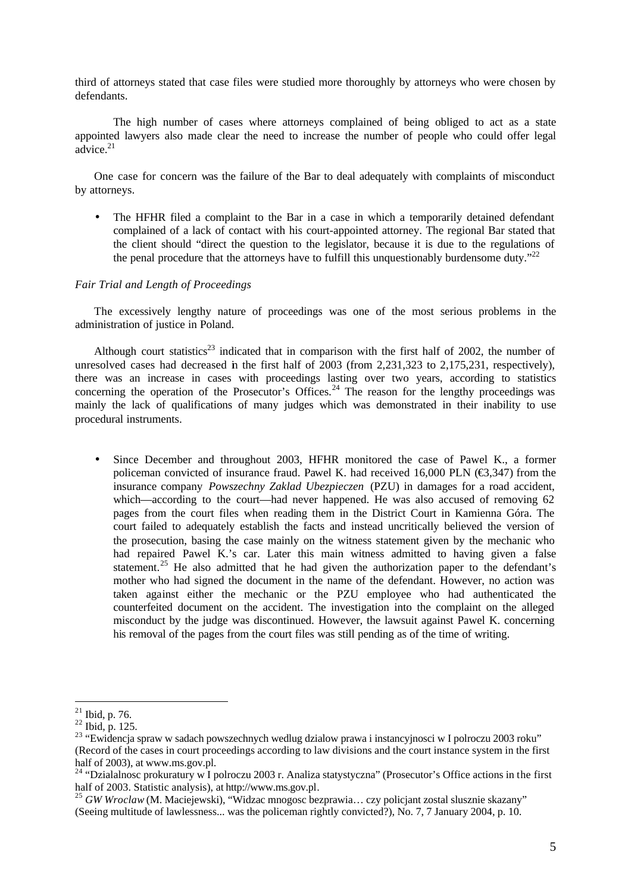third of attorneys stated that case files were studied more thoroughly by attorneys who were chosen by defendants.

The high number of cases where attorneys complained of being obliged to act as a state appointed lawyers also made clear the need to increase the number of people who could offer legal advice $^{21}$ 

One case for concern was the failure of the Bar to deal adequately with complaints of misconduct by attorneys.

• The HFHR filed a complaint to the Bar in a case in which a temporarily detained defendant complained of a lack of contact with his court-appointed attorney. The regional Bar stated that the client should "direct the question to the legislator, because it is due to the regulations of the penal procedure that the attorneys have to fulfill this unquestionably burdensome duty."<sup>22</sup>

## *Fair Trial and Length of Proceedings*

The excessively lengthy nature of proceedings was one of the most serious problems in the administration of justice in Poland.

Although court statistics<sup>23</sup> indicated that in comparison with the first half of 2002, the number of unresolved cases had decreased in the first half of 2003 (from 2,231,323 to 2,175,231, respectively), there was an increase in cases with proceedings lasting over two years, according to statistics concerning the operation of the Prosecutor's Offices.<sup>24</sup> The reason for the lengthy proceedings was mainly the lack of qualifications of many judges which was demonstrated in their inability to use procedural instruments.

• Since December and throughout 2003, HFHR monitored the case of Pawel K., a former policeman convicted of insurance fraud. Pawel K. had received 16,000 PLN ( $\epsilon$ 3,347) from the insurance company *Powszechny Zaklad Ubezpieczen* (PZU) in damages for a road accident, which—according to the court—had never happened. He was also accused of removing 62 pages from the court files when reading them in the District Court in Kamienna Góra. The court failed to adequately establish the facts and instead uncritically believed the version of the prosecution, basing the case mainly on the witness statement given by the mechanic who had repaired Pawel K's car. Later this main witness admitted to having given a false statement.<sup>25</sup> He also admitted that he had given the authorization paper to the defendant's mother who had signed the document in the name of the defendant. However, no action was taken against either the mechanic or the PZU employee who had authenticated the counterfeited document on the accident. The investigation into the complaint on the alleged misconduct by the judge was discontinued. However, the lawsuit against Pawel K. concerning his removal of the pages from the court files was still pending as of the time of writing.

 $^{21}$  Ibid, p. 76.

 $22$  Ibid, p. 125.

<sup>&</sup>lt;sup>23</sup> "Ewidencia spraw w sadach powszechnych wedlug dzialow prawa i instancyjnosci w I polroczu 2003 roku" (Record of the cases in court proceedings according to law divisions and the court instance system in the first half of 2003), at www.ms.gov.pl.

<sup>&</sup>lt;sup>24</sup> "Dzialalnosc prokuratury w I polroczu 2003 r. Analiza statystyczna" (Prosecutor's Office actions in the first half of 2003. Statistic analysis), at http://www.ms.gov.pl.

<sup>25</sup> *GW Wroclaw* (M. Maciejewski), "Widzac mnogosc bezprawia… czy policjant zostal slusznie skazany" (Seeing multitude of lawlessness... was the policeman rightly convicted?), No. 7, 7 January 2004, p. 10.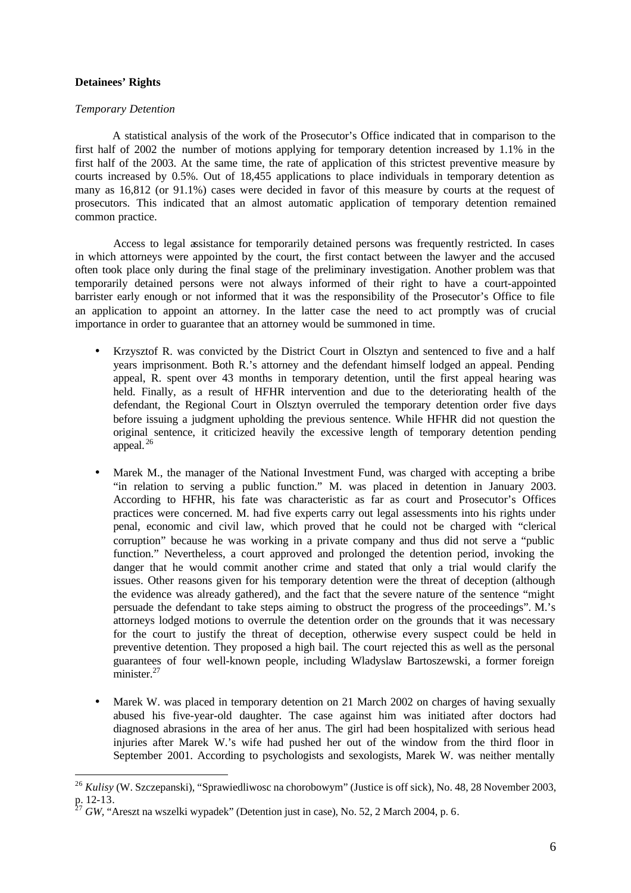# **Detainees' Rights**

 $\overline{a}$ 

#### *Temporary Detention*

A statistical analysis of the work of the Prosecutor's Office indicated that in comparison to the first half of 2002 the number of motions applying for temporary detention increased by 1.1% in the first half of the 2003. At the same time, the rate of application of this strictest preventive measure by courts increased by 0.5%. Out of 18,455 applications to place individuals in temporary detention as many as 16,812 (or 91.1%) cases were decided in favor of this measure by courts at the request of prosecutors. This indicated that an almost automatic application of temporary detention remained common practice.

Access to legal assistance for temporarily detained persons was frequently restricted. In cases in which attorneys were appointed by the court, the first contact between the lawyer and the accused often took place only during the final stage of the preliminary investigation. Another problem was that temporarily detained persons were not always informed of their right to have a court-appointed barrister early enough or not informed that it was the responsibility of the Prosecutor's Office to file an application to appoint an attorney. In the latter case the need to act promptly was of crucial importance in order to guarantee that an attorney would be summoned in time.

- Krzysztof R. was convicted by the District Court in Olsztyn and sentenced to five and a half years imprisonment. Both R.'s attorney and the defendant himself lodged an appeal. Pending appeal, R. spent over 43 months in temporary detention, until the first appeal hearing was held. Finally, as a result of HFHR intervention and due to the deteriorating health of the defendant, the Regional Court in Olsztyn overruled the temporary detention order five days before issuing a judgment upholding the previous sentence. While HFHR did not question the original sentence, it criticized heavily the excessive length of temporary detention pending appeal. <sup>26</sup>
- Marek M., the manager of the National Investment Fund, was charged with accepting a bribe "in relation to serving a public function." M. was placed in detention in January 2003. According to HFHR, his fate was characteristic as far as court and Prosecutor's Offices practices were concerned. M. had five experts carry out legal assessments into his rights under penal, economic and civil law, which proved that he could not be charged with "clerical corruption" because he was working in a private company and thus did not serve a "public function." Nevertheless, a court approved and prolonged the detention period, invoking the danger that he would commit another crime and stated that only a trial would clarify the issues. Other reasons given for his temporary detention were the threat of deception (although the evidence was already gathered), and the fact that the severe nature of the sentence "might persuade the defendant to take steps aiming to obstruct the progress of the proceedings". M.'s attorneys lodged motions to overrule the detention order on the grounds that it was necessary for the court to justify the threat of deception, otherwise every suspect could be held in preventive detention. They proposed a high bail. The court rejected this as well as the personal guarantees of four well-known people, including Wladyslaw Bartoszewski, a former foreign minister.<sup>27</sup>
- Marek W. was placed in temporary detention on 21 March 2002 on charges of having sexually abused his five-year-old daughter. The case against him was initiated after doctors had diagnosed abrasions in the area of her anus. The girl had been hospitalized with serious head injuries after Marek W.'s wife had pushed her out of the window from the third floor in September 2001. According to psychologists and sexologists, Marek W. was neither mentally

<sup>26</sup> *Kulisy* (W. Szczepanski), "Sprawiedliwosc na chorobowym" (Justice is off sick), No. 48, 28 November 2003, p. 12-13.

<sup>27</sup> *GW,* "Areszt na wszelki wypadek" (Detention just in case), No. 52, 2 March 2004, p. 6.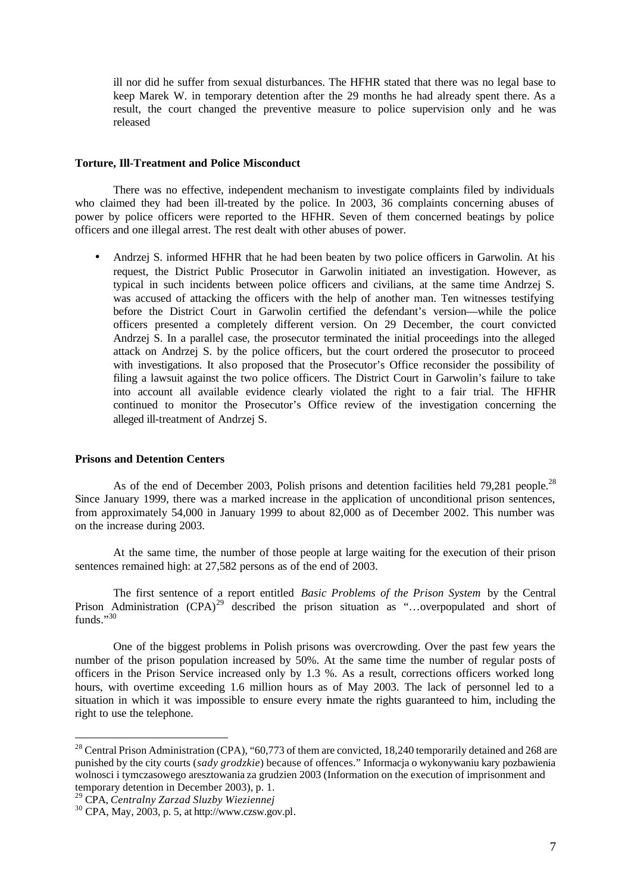ill nor did he suffer from sexual disturbances. The HFHR stated that there was no legal base to keep Marek W. in temporary detention after the 29 months he had already spent there. As a result, the court changed the preventive measure to police supervision only and he was released

#### **Torture, Ill-Treatment and Police Misconduct**

There was no effective, independent mechanism to investigate complaints filed by individuals who claimed they had been ill-treated by the police. In 2003, 36 complaints concerning abuses of power by police officers were reported to the HFHR. Seven of them concerned beatings by police officers and one illegal arrest. The rest dealt with other abuses of power.

• Andrzej S. informed HFHR that he had been beaten by two police officers in Garwolin. At his request, the District Public Prosecutor in Garwolin initiated an investigation. However, as typical in such incidents between police officers and civilians, at the same time Andrzej S. was accused of attacking the officers with the help of another man. Ten witnesses testifying before the District Court in Garwolin certified the defendant's version—while the police officers presented a completely different version. On 29 December, the court convicted Andrzej S. In a parallel case, the prosecutor terminated the initial proceedings into the alleged attack on Andrzej S. by the police officers, but the court ordered the prosecutor to proceed with investigations. It also proposed that the Prosecutor's Office reconsider the possibility of filing a lawsuit against the two police officers. The District Court in Garwolin's failure to take into account all available evidence clearly violated the right to a fair trial. The HFHR continued to monitor the Prosecutor's Office review of the investigation concerning the alleged ill-treatment of Andrzej S.

## **Prisons and Detention Centers**

As of the end of December 2003, Polish prisons and detention facilities held 79,281 people.<sup>28</sup> Since January 1999, there was a marked increase in the application of unconditional prison sentences, from approximately 54,000 in January 1999 to about 82,000 as of December 2002. This number was on the increase during 2003.

At the same time, the number of those people at large waiting for the execution of their prison sentences remained high: at 27,582 persons as of the end of 2003.

The first sentence of a report entitled *Basic Problems of the Prison System* by the Central Prison Administration (CPA)<sup>29</sup> described the prison situation as "...overpopulated and short of funds."30

One of the biggest problems in Polish prisons was overcrowding. Over the past few years the number of the prison population increased by 50%. At the same time the number of regular posts of officers in the Prison Service increased only by 1.3 %. As a result, corrections officers worked long hours, with overtime exceeding 1.6 million hours as of May 2003. The lack of personnel led to a situation in which it was impossible to ensure every inmate the rights guaranteed to him, including the right to use the telephone.

<sup>29</sup> CPA, *Centralny Zarzad Sluzby Wieziennej*

<sup>&</sup>lt;sup>28</sup> Central Prison Administration (CPA), "60,773 of them are convicted, 18,240 temporarily detained and 268 are punished by the city courts (*sady grodzkie*) because of offences." Informacja o wykonywaniu kary pozbawienia wolnosci i tymczasowego aresztowania za grudzien 2003 (Information on the execution of imprisonment and temporary detention in December 2003), p. 1.

 $30$  CPA, May, 2003, p. 5, at http://www.czsw.gov.pl.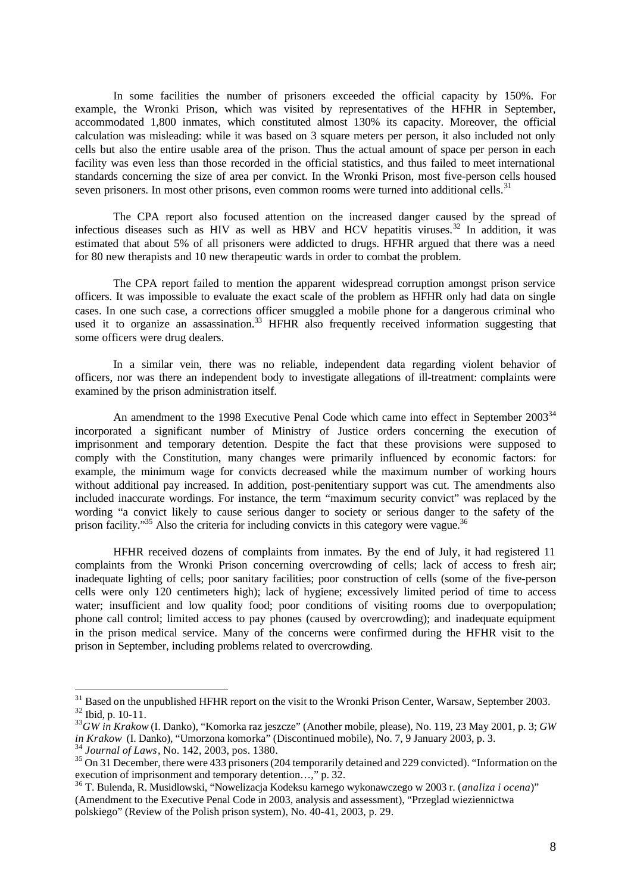In some facilities the number of prisoners exceeded the official capacity by 150%. For example, the Wronki Prison, which was visited by representatives of the HFHR in September, accommodated 1,800 inmates, which constituted almost 130% its capacity. Moreover, the official calculation was misleading: while it was based on 3 square meters per person, it also included not only cells but also the entire usable area of the prison. Thus the actual amount of space per person in each facility was even less than those recorded in the official statistics, and thus failed to meet international standards concerning the size of area per convict. In the Wronki Prison, most five-person cells housed seven prisoners. In most other prisons, even common rooms were turned into additional cells.<sup>31</sup>

The CPA report also focused attention on the increased danger caused by the spread of infectious diseases such as HIV as well as HBV and HCV hepatitis viruses.<sup>32</sup> In addition, it was estimated that about 5% of all prisoners were addicted to drugs. HFHR argued that there was a need for 80 new therapists and 10 new therapeutic wards in order to combat the problem.

The CPA report failed to mention the apparent widespread corruption amongst prison service officers. It was impossible to evaluate the exact scale of the problem as HFHR only had data on single cases. In one such case, a corrections officer smuggled a mobile phone for a dangerous criminal who used it to organize an assassination.<sup>33</sup> HFHR also frequently received information suggesting that some officers were drug dealers.

In a similar vein, there was no reliable, independent data regarding violent behavior of officers, nor was there an independent body to investigate allegations of ill-treatment: complaints were examined by the prison administration itself.

An amendment to the 1998 Executive Penal Code which came into effect in September 2003<sup>34</sup> incorporated a significant number of Ministry of Justice orders concerning the execution of imprisonment and temporary detention. Despite the fact that these provisions were supposed to comply with the Constitution, many changes were primarily influenced by economic factors: for example, the minimum wage for convicts decreased while the maximum number of working hours without additional pay increased. In addition, post-penitentiary support was cut. The amendments also included inaccurate wordings. For instance, the term "maximum security convict" was replaced by the wording "a convict likely to cause serious danger to society or serious danger to the safety of the prison facility."<sup>35</sup> Also the criteria for including convicts in this category were vague.<sup>36</sup>

HFHR received dozens of complaints from inmates. By the end of July, it had registered 11 complaints from the Wronki Prison concerning overcrowding of cells; lack of access to fresh air; inadequate lighting of cells; poor sanitary facilities; poor construction of cells (some of the five-person cells were only 120 centimeters high); lack of hygiene; excessively limited period of time to access water; insufficient and low quality food; poor conditions of visiting rooms due to overpopulation; phone call control; limited access to pay phones (caused by overcrowding); and inadequate equipment in the prison medical service. Many of the concerns were confirmed during the HFHR visit to the prison in September, including problems related to overcrowding.

<sup>&</sup>lt;sup>31</sup> Based on the unpublished HFHR report on the visit to the Wronki Prison Center, Warsaw, September 2003. <sup>32</sup> Ibid, p. 10-11.

<sup>33</sup>*GW in Krakow* (I. Danko), "Komorka raz jeszcze" (Another mobile, please), No. 119, 23 May 2001, p. 3; *GW in Krakow* (I. Danko), "Umorzona komorka" (Discontinued mobile), No. 7, 9 January 2003, p. 3.

<sup>34</sup> *Journal of Laws*, No. 142, 2003, pos. 1380.

<sup>&</sup>lt;sup>35</sup> On 31 December, there were 433 prisoners (204 temporarily detained and 229 convicted). "Information on the execution of imprisonment and temporary detention…," p. 32.

<sup>36</sup> T. Bulenda, R. Musidlowski, "Nowelizacja Kodeksu karnego wykonawczego w 2003 r. (*analiza i ocena*)" (Amendment to the Executive Penal Code in 2003, analysis and assessment), "Przeglad wieziennictwa polskiego" (Review of the Polish prison system), No. 40-41, 2003, p. 29.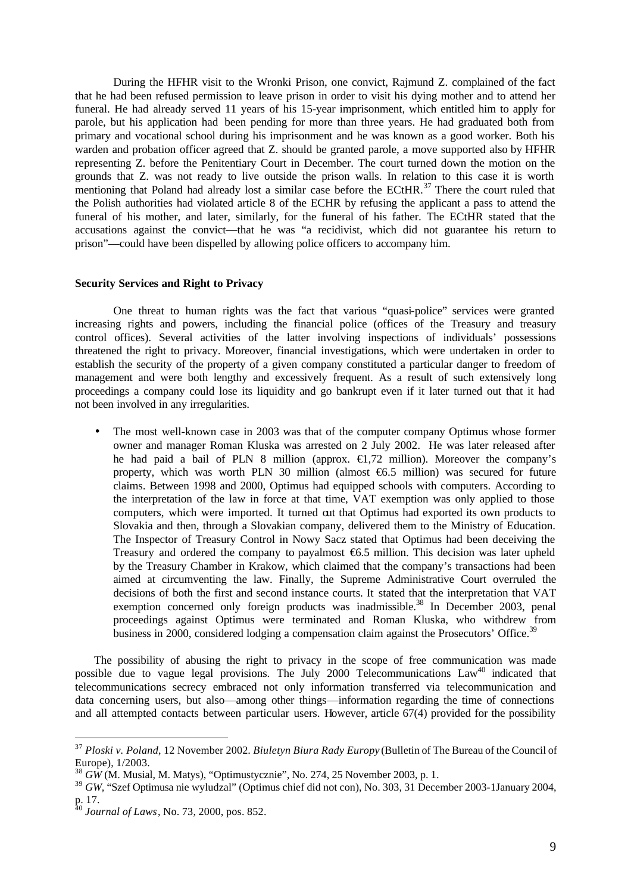During the HFHR visit to the Wronki Prison, one convict, Rajmund Z. complained of the fact that he had been refused permission to leave prison in order to visit his dying mother and to attend her funeral. He had already served 11 years of his 15-year imprisonment, which entitled him to apply for parole, but his application had been pending for more than three years. He had graduated both from primary and vocational school during his imprisonment and he was known as a good worker. Both his warden and probation officer agreed that Z. should be granted parole, a move supported also by HFHR representing Z. before the Penitentiary Court in December. The court turned down the motion on the grounds that Z. was not ready to live outside the prison walls. In relation to this case it is worth mentioning that Poland had already lost a similar case before the ECtHR.<sup>37</sup> There the court ruled that the Polish authorities had violated article 8 of the ECHR by refusing the applicant a pass to attend the funeral of his mother, and later, similarly, for the funeral of his father. The ECtHR stated that the accusations against the convict—that he was "a recidivist, which did not guarantee his return to prison"—could have been dispelled by allowing police officers to accompany him.

#### **Security Services and Right to Privacy**

One threat to human rights was the fact that various "quasi-police" services were granted increasing rights and powers, including the financial police (offices of the Treasury and treasury control offices). Several activities of the latter involving inspections of individuals' possessions threatened the right to privacy. Moreover, financial investigations, which were undertaken in order to establish the security of the property of a given company constituted a particular danger to freedom of management and were both lengthy and excessively frequent. As a result of such extensively long proceedings a company could lose its liquidity and go bankrupt even if it later turned out that it had not been involved in any irregularities.

• The most well-known case in 2003 was that of the computer company Optimus whose former owner and manager Roman Kluska was arrested on 2 July 2002. He was later released after he had paid a bail of PLN 8 million (approx.  $\bigoplus$ , 72 million). Moreover the company's property, which was worth PLN 30 million (almost  $\epsilon$ 6.5 million) was secured for future claims. Between 1998 and 2000, Optimus had equipped schools with computers. According to the interpretation of the law in force at that time, VAT exemption was only applied to those computers, which were imported. It turned out that Optimus had exported its own products to Slovakia and then, through a Slovakian company, delivered them to the Ministry of Education. The Inspector of Treasury Control in Nowy Sacz stated that Optimus had been deceiving the Treasury and ordered the company to payalmost €6.5 million. This decision was later upheld by the Treasury Chamber in Krakow, which claimed that the company's transactions had been aimed at circumventing the law. Finally, the Supreme Administrative Court overruled the decisions of both the first and second instance courts. It stated that the interpretation that VAT exemption concerned only foreign products was inadmissible.<sup>38</sup> In December 2003, penal proceedings against Optimus were terminated and Roman Kluska, who withdrew from business in 2000, considered lodging a compensation claim against the Prosecutors' Office.<sup>39</sup>

The possibility of abusing the right to privacy in the scope of free communication was made possible due to vague legal provisions. The July 2000 Telecommunications Law<sup>40</sup> indicated that telecommunications secrecy embraced not only information transferred via telecommunication and data concerning users, but also—among other things—information regarding the time of connections and all attempted contacts between particular users. However, article 67(4) provided for the possibility

<sup>37</sup> *Ploski v. Poland*, 12 November 2002. *Biuletyn Biura Rady Europy* (Bulletin of The Bureau of the Council of Europe), 1/2003.

<sup>38</sup> *GW* (M. Musial, M. Matys), "Optimustycznie", No. 274, 25 November 2003, p. 1.

<sup>39</sup> *GW,* "Szef Optimusa nie wyludzal" (Optimus chief did not con), No. 303, 31 December 2003-1January 2004, p. 17.

<sup>40</sup> *Journal of Laws*, No. 73, 2000, pos. 852.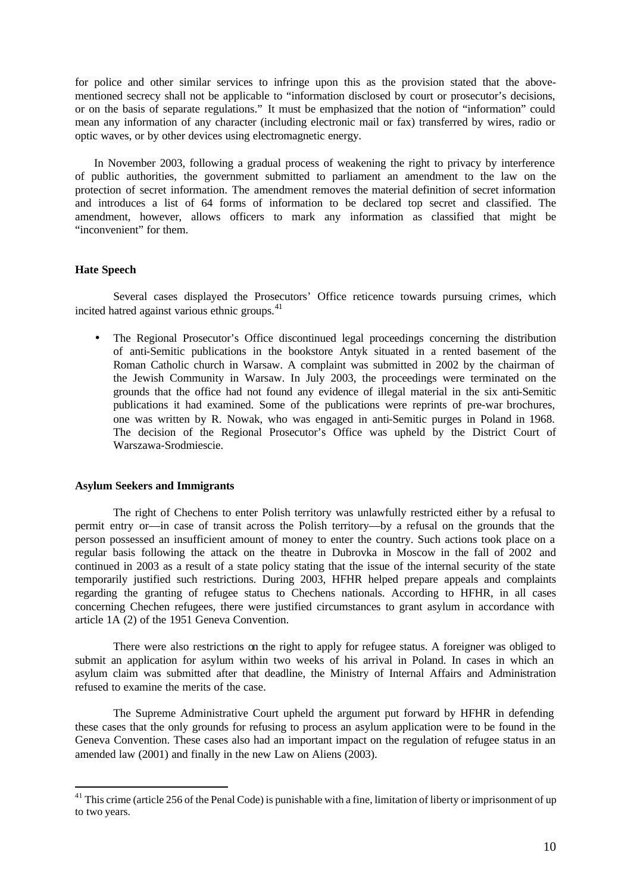for police and other similar services to infringe upon this as the provision stated that the abovementioned secrecy shall not be applicable to "information disclosed by court or prosecutor's decisions, or on the basis of separate regulations." It must be emphasized that the notion of "information" could mean any information of any character (including electronic mail or fax) transferred by wires, radio or optic waves, or by other devices using electromagnetic energy.

In November 2003, following a gradual process of weakening the right to privacy by interference of public authorities, the government submitted to parliament an amendment to the law on the protection of secret information. The amendment removes the material definition of secret information and introduces a list of 64 forms of information to be declared top secret and classified. The amendment, however, allows officers to mark any information as classified that might be "inconvenient" for them.

# **Hate Speech**

l

Several cases displayed the Prosecutors' Office reticence towards pursuing crimes, which incited hatred against various ethnic groups.<sup>41</sup>

• The Regional Prosecutor's Office discontinued legal proceedings concerning the distribution of anti-Semitic publications in the bookstore Antyk situated in a rented basement of the Roman Catholic church in Warsaw. A complaint was submitted in 2002 by the chairman of the Jewish Community in Warsaw. In July 2003, the proceedings were terminated on the grounds that the office had not found any evidence of illegal material in the six anti-Semitic publications it had examined. Some of the publications were reprints of pre-war brochures, one was written by R. Nowak, who was engaged in anti-Semitic purges in Poland in 1968. The decision of the Regional Prosecutor's Office was upheld by the District Court of Warszawa-Srodmiescie.

## **Asylum Seekers and Immigrants**

The right of Chechens to enter Polish territory was unlawfully restricted either by a refusal to permit entry or—in case of transit across the Polish territory—by a refusal on the grounds that the person possessed an insufficient amount of money to enter the country. Such actions took place on a regular basis following the attack on the theatre in Dubrovka in Moscow in the fall of 2002 and continued in 2003 as a result of a state policy stating that the issue of the internal security of the state temporarily justified such restrictions. During 2003, HFHR helped prepare appeals and complaints regarding the granting of refugee status to Chechens nationals. According to HFHR, in all cases concerning Chechen refugees, there were justified circumstances to grant asylum in accordance with article 1A (2) of the 1951 Geneva Convention.

There were also restrictions on the right to apply for refugee status. A foreigner was obliged to submit an application for asylum within two weeks of his arrival in Poland. In cases in which an asylum claim was submitted after that deadline, the Ministry of Internal Affairs and Administration refused to examine the merits of the case.

The Supreme Administrative Court upheld the argument put forward by HFHR in defending these cases that the only grounds for refusing to process an asylum application were to be found in the Geneva Convention. These cases also had an important impact on the regulation of refugee status in an amended law (2001) and finally in the new Law on Aliens (2003).

 $41$  This crime (article 256 of the Penal Code) is punishable with a fine, limitation of liberty or imprisonment of up to two years.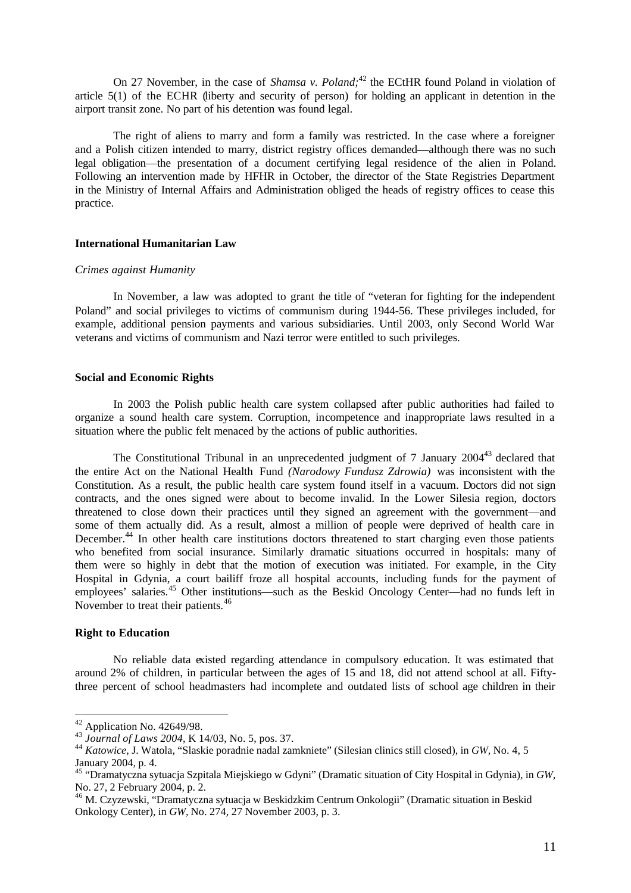On 27 November, in the case of *Shamsa v. Poland;*<sup>42</sup> the ECtHR found Poland in violation of article 5(1) of the ECHR (liberty and security of person) for holding an applicant in detention in the airport transit zone. No part of his detention was found legal.

The right of aliens to marry and form a family was restricted. In the case where a foreigner and a Polish citizen intended to marry, district registry offices demanded—although there was no such legal obligation—the presentation of a document certifying legal residence of the alien in Poland. Following an intervention made by HFHR in October, the director of the State Registries Department in the Ministry of Internal Affairs and Administration obliged the heads of registry offices to cease this practice.

#### **International Humanitarian Law**

#### *Crimes against Humanity*

In November, a law was adopted to grant the title of "veteran for fighting for the independent Poland" and social privileges to victims of communism during 1944-56. These privileges included, for example, additional pension payments and various subsidiaries. Until 2003, only Second World War veterans and victims of communism and Nazi terror were entitled to such privileges.

# **Social and Economic Rights**

In 2003 the Polish public health care system collapsed after public authorities had failed to organize a sound health care system. Corruption, incompetence and inappropriate laws resulted in a situation where the public felt menaced by the actions of public authorities.

The Constitutional Tribunal in an unprecedented judgment of 7 January 2004<sup>43</sup> declared that the entire Act on the National Health Fund *(Narodowy Fundusz Zdrowia)* was inconsistent with the Constitution. As a result, the public health care system found itself in a vacuum. Doctors did not sign contracts, and the ones signed were about to become invalid. In the Lower Silesia region, doctors threatened to close down their practices until they signed an agreement with the government—and some of them actually did. As a result, almost a million of people were deprived of health care in December.<sup>44</sup> In other health care institutions doctors threatened to start charging even those patients who benefited from social insurance. Similarly dramatic situations occurred in hospitals: many of them were so highly in debt that the motion of execution was initiated. For example, in the City Hospital in Gdynia, a court bailiff froze all hospital accounts, including funds for the payment of employees' salaries.<sup>45</sup> Other institutions—such as the Beskid Oncology Center—had no funds left in November to treat their patients.<sup>46</sup>

## **Right to Education**

 $\overline{a}$ 

No reliable data existed regarding attendance in compulsory education. It was estimated that around 2% of children, in particular between the ages of 15 and 18, did not attend school at all. Fiftythree percent of school headmasters had incomplete and outdated lists of school age children in their

 $42$  Application No. 42649/98.

<sup>43</sup> *Journal of Laws 2004,* K 14/03, No. 5, pos. 37.

<sup>44</sup> *Katowice,* J. Watola, "Slaskie poradnie nadal zamkniete" (Silesian clinics still closed), in *GW,* No. 4, 5 January 2004, p. 4.

<sup>45</sup> "Dramatyczna sytuacja Szpitala Miejskiego w Gdyni" (Dramatic situation of City Hospital in Gdynia), in *GW,* No. 27, 2 February 2004, p. 2.

<sup>46</sup> M. Czyzewski, "Dramatyczna sytuacja w Beskidzkim Centrum Onkologii" (Dramatic situation in Beskid Onkology Center), in *GW,* No. 274, 27 November 2003, p. 3.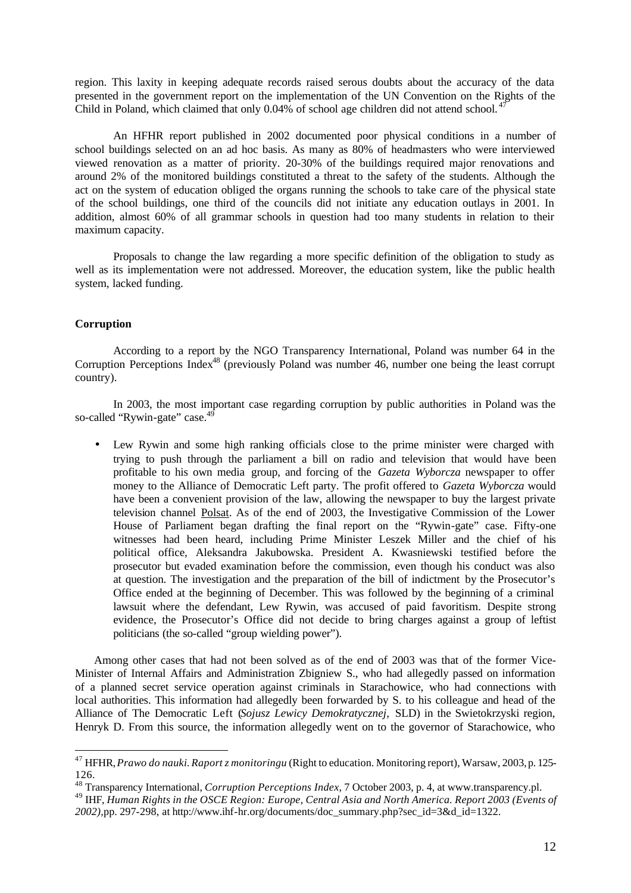region. This laxity in keeping adequate records raised serous doubts about the accuracy of the data presented in the government report on the implementation of the UN Convention on the Rights of the Child in Poland, which claimed that only 0.04% of school age children did not attend school.<sup>47</sup>

An HFHR report published in 2002 documented poor physical conditions in a number of school buildings selected on an ad hoc basis. As many as 80% of headmasters who were interviewed viewed renovation as a matter of priority. 20-30% of the buildings required major renovations and around 2% of the monitored buildings constituted a threat to the safety of the students. Although the act on the system of education obliged the organs running the schools to take care of the physical state of the school buildings, one third of the councils did not initiate any education outlays in 2001. In addition, almost 60% of all grammar schools in question had too many students in relation to their maximum capacity.

Proposals to change the law regarding a more specific definition of the obligation to study as well as its implementation were not addressed. Moreover, the education system, like the public health system, lacked funding.

## **Corruption**

 $\overline{a}$ 

According to a report by the NGO Transparency International, Poland was number 64 in the Corruption Perceptions Index<sup>48</sup> (previously Poland was number 46, number one being the least corrupt country).

In 2003, the most important case regarding corruption by public authorities in Poland was the so-called "Rywin-gate" case.<sup>49</sup>

• Lew Rywin and some high ranking officials close to the prime minister were charged with trying to push through the parliament a bill on radio and television that would have been profitable to his own media group, and forcing of the *Gazeta Wyborcza* newspaper to offer money to the Alliance of Democratic Left party. The profit offered to *Gazeta Wyborcza* would have been a convenient provision of the law, allowing the newspaper to buy the largest private television channel Polsat. As of the end of 2003, the Investigative Commission of the Lower House of Parliament began drafting the final report on the "Rywin-gate" case. Fifty-one witnesses had been heard, including Prime Minister Leszek Miller and the chief of his political office, Aleksandra Jakubowska. President A. Kwasniewski testified before the prosecutor but evaded examination before the commission, even though his conduct was also at question. The investigation and the preparation of the bill of indictment by the Prosecutor's Office ended at the beginning of December. This was followed by the beginning of a criminal lawsuit where the defendant, Lew Rywin, was accused of paid favoritism. Despite strong evidence, the Prosecutor's Office did not decide to bring charges against a group of leftist politicians (the so-called "group wielding power").

Among other cases that had not been solved as of the end of 2003 was that of the former Vice-Minister of Internal Affairs and Administration Zbigniew S., who had allegedly passed on information of a planned secret service operation against criminals in Starachowice, who had connections with local authorities. This information had allegedly been forwarded by S. to his colleague and head of the Alliance of The Democratic Left (*Sojusz Lewicy Demokratycznej,* SLD) in the Swietokrzyski region, Henryk D. From this source, the information allegedly went on to the governor of Starachowice, who

<sup>47</sup> HFHR, *Prawo do nauki. Raport z monitoringu* (Right to education. Monitoring report), Warsaw, 2003, p. 125- 126.

<sup>48</sup> Transparency International, *Corruption Perceptions Index*, 7 October 2003, p. 4, at www.transparency.pl.

<sup>49</sup> IHF, *Human Rights in the OSCE Region: Europe, Central Asia and North America. Report 2003 (Events of 2002),*pp. 297-298, at http://www.ihf-hr.org/documents/doc\_summary.php?sec\_id=3&d\_id=1322.